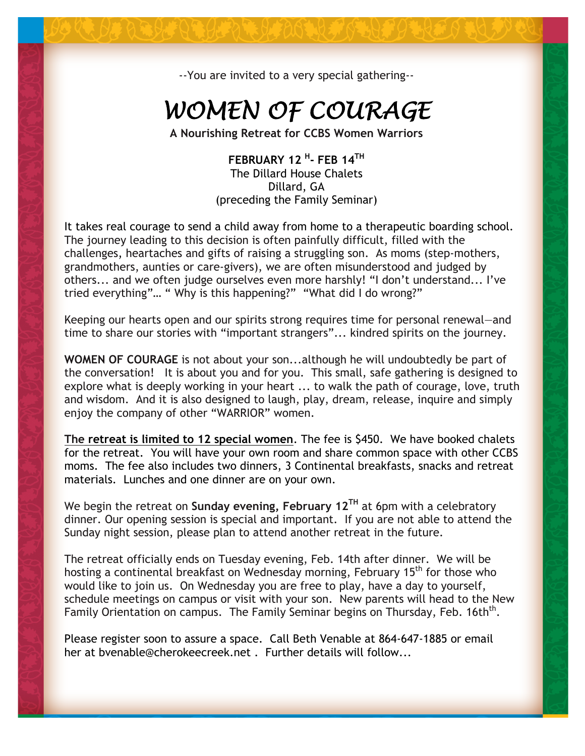--You are invited to a very special gathering--

## *WOMEN OF COURAGE*

**A Nourishing Retreat for CCBS Women Warriors**

**FEBRUARY 12 <sup>H</sup> - FEB 14TH** The Dillard House Chalets Dillard, GA (preceding the Family Seminar)

It takes real courage to send a child away from home to a therapeutic boarding school. The journey leading to this decision is often painfully difficult, filled with the challenges, heartaches and gifts of raising a struggling son. As moms (step-mothers, grandmothers, aunties or care-givers), we are often misunderstood and judged by others... and we often judge ourselves even more harshly! "I don't understand... I've tried everything"… " Why is this happening?" "What did I do wrong?"

Keeping our hearts open and our spirits strong requires time for personal renewal—and time to share our stories with "important strangers"... kindred spirits on the journey.

**WOMEN OF COURAGE** is not about your son...although he will undoubtedly be part of the conversation! It is about you and for you. This small, safe gathering is designed to explore what is deeply working in your heart ... to walk the path of courage, love, truth and wisdom. And it is also designed to laugh, play, dream, release, inquire and simply enjoy the company of other "WARRIOR" women.

**The retreat is limited to 12 special women**. The fee is \$450. We have booked chalets for the retreat. You will have your own room and share common space with other CCBS moms. The fee also includes two dinners, 3 Continental breakfasts, snacks and retreat materials. Lunches and one dinner are on your own.

We begin the retreat on **Sunday evening, February 12<sup>TH</sup>** at 6pm with a celebratory dinner. Our opening session is special and important. If you are not able to attend the Sunday night session, please plan to attend another retreat in the future.

The retreat officially ends on Tuesday evening, Feb. 14th after dinner. We will be hosting a continental breakfast on Wednesday morning, February 15<sup>th</sup> for those who would like to join us. On Wednesday you are free to play, have a day to yourself, schedule meetings on campus or visit with your son. New parents will head to the New Family Orientation on campus. The Family Seminar begins on Thursday, Feb. 16th $<sup>th</sup>$ .</sup>

Please register soon to assure a space. Call Beth Venable at 864-647-1885 or email her at bvenable@cherokeecreek.net . Further details will follow...